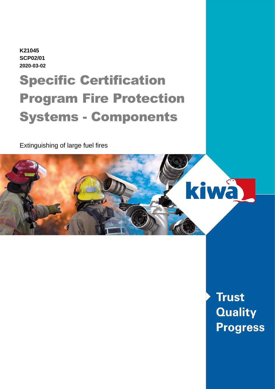**K21045 SCP02/01 2020-03-02**

# Specific Certification Program Fire Protection Systems - Components

Extinguishing of large fuel fires



**Trust Quality Progress**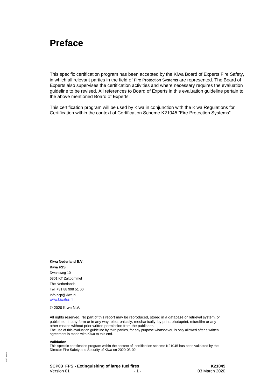### **Preface**

This specific certification program has been accepted by the Kiwa Board of Experts Fire Safety, in which all relevant parties in the field of Fire Protection Systems are represented. The Board of Experts also supervises the certification activities and where necessary requires the evaluation guideline to be revised. All references to Board of Experts in this evaluation guideline pertain to the above mentioned Board of Experts.

This certification program will be used by Kiwa in conjunction with the Kiwa Regulations for Certification within the context of Certification Scheme K21045 "Fire Protection Systems".

**Kiwa Nederland B.V. Kiwa FSS** Dwarsweg 10 5301 KT Zaltbommel The Netherlands Tel. +31 88 998 51 00 Info.ncp@kiwa.nl [www.kiwafss.nl](http://www.kiwafss.nl/)

© 2020 Kiwa N.V.

All rights reserved. No part of this report may be reproduced, stored in a database or retrieval system, or published, in any form or in any way, electronically, mechanically, by print, photoprint, microfilm or any other means without prior written permission from the publisher. The use of this evaluation guideline by third parties, for any purpose whatsoever, is only allowed after a written agreement is made with Kiwa to this end.

#### **Validation**

This specific certification program within the context of certification scheme K21045 has been validated by the Director Fire Safety and Security of Kiwa on 2020-03-02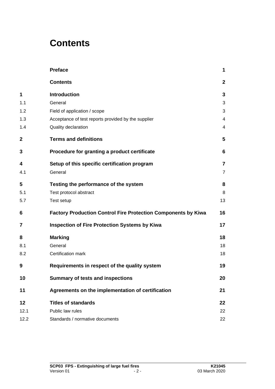### **Contents**

|             | <b>Preface</b>                                                       | 1              |
|-------------|----------------------------------------------------------------------|----------------|
|             | <b>Contents</b>                                                      | $\mathbf{2}$   |
| 1           | <b>Introduction</b>                                                  | 3              |
| 1.1         | General                                                              | 3              |
| 1.2         | Field of application / scope                                         | 3              |
| 1.3         | Acceptance of test reports provided by the supplier                  | 4              |
| 1.4         | Quality declaration                                                  | 4              |
| $\mathbf 2$ | <b>Terms and definitions</b>                                         | 5              |
| 3           | Procedure for granting a product certificate                         | 6              |
| 4           | Setup of this specific certification program                         | $\overline{7}$ |
| 4.1         | General                                                              | $\overline{7}$ |
| 5           | Testing the performance of the system                                | 8              |
| 5.1         | Test protocol abstract                                               | 8              |
| 5.7         | Test setup                                                           | 13             |
| 6           | <b>Factory Production Control Fire Protection Components by Kiwa</b> | 16             |
| 7           | <b>Inspection of Fire Protection Systems by Kiwa</b>                 | 17             |
| 8           | <b>Marking</b>                                                       | 18             |
| 8.1         | General                                                              | 18             |
| 8.2         | Certification mark                                                   | 18             |
| 9           | Requirements in respect of the quality system                        | 19             |
| 10          | <b>Summary of tests and inspections</b>                              | 20             |
| 11          | Agreements on the implementation of certification                    | 21             |
| 12          | <b>Titles of standards</b>                                           | 22             |
| 12.1        | Public law rules                                                     | 22             |
| 12.2        | Standards / normative documents                                      | 22             |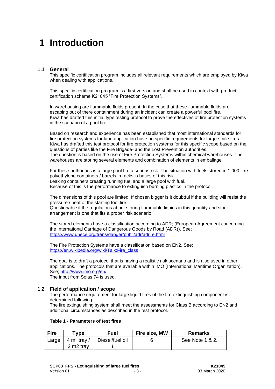### **1 Introduction**

#### **1.1 General**

This specific certification program includes all relevant requirements which are employed by Kiwa when dealing with applications.

This specific certification program is a first version and shall be used in context with product certification scheme K21045 "Fire Protection Systems".

In warehousing are flammable fluids present. In the case that these flammable fluids are escaping out of there containment during an incident can create a powerful pool fire. Kiwa has drafted this initial type testing protocol to prove the effectives of fire protection systems in the scenario of a pool fire.

Based on research and experience has been established that most international standards for fire protection systems for land application have no specific requirements for large scale fires. Kiwa has drafted this test protocol for fire protection systems for this specific scope based on the questions of parties like the Fire Brigade- and the Lost Prevention authorities. The question is based on the use of Fire Protection Systems within chemical warehouses. The warehouses are storing several elements and combination of elements in emballage.

For these authorities is a large pool fire a serious risk. The situation with fuels stored in 1.000 litre polyethylene containers / barrels in racks is bases of this risk. Leaking containers creating running fuel and a large pool with fuel. Because of this is the performance to extinguish burning plastics in the protocol.

The dimensions of this pool are limited. If chosen bigger is it doubtful if the building will resist the pressure / heat of the starting fool fire.

Questionable if the regulations about storing flammable liquids in this quantity and stock arrangement is one that fits a proper risk scenario.

The stored elements have a classification according to ADR; (European Agreement concerning the International Carriage of Dangerous Goods by Road (ADR)). See; [https://www.unece.org/trans/danger/publi/adr/adr\\_e.html](https://www.unece.org/trans/danger/publi/adr/adr_e.html)

The Fire Protection Systems have a classification based on EN2. See; [https://en.wikipedia.org/wiki/Talk:Fire\\_class](https://en.wikipedia.org/wiki/Talk:Fire_class)

The goal is to draft a protocol that is having a realistic risk scenario and is also used in other applications. The protocols that are available within IMO (International Maritime Organization). See;<http://www.imo.org/en/> The input from Solas 74 is used.

#### **1.2 Field of application / scope**

The performance requirement for large liquid fires of the fire extinguishing component is determined following.

The fire extinguishing system shall meet the assessments for Class B according to EN2 and additional circumstances as described in the test protocol.

| <b>Fire</b> | Tvpe                    | Fuel            | Fire size, MW | <b>Remarks</b>  |
|-------------|-------------------------|-----------------|---------------|-----------------|
| Large       | 4 m <sup>2</sup> tray / | Diesel/fuel oil |               | See Note 1 & 2. |
|             | 2 m <sub>2</sub> tray   |                 |               |                 |

#### **Table 1 - Parameters of test fires**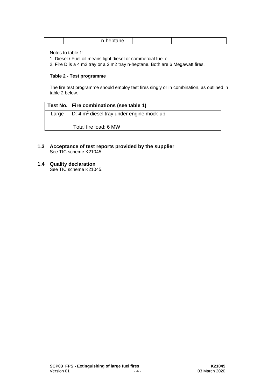|  |  | $\sim$<br>$\cdots$ |  |  |
|--|--|--------------------|--|--|
|--|--|--------------------|--|--|

Notes to table 1:

1. Diesel / Fuel oil means light diesel or commercial fuel oil.

2. Fire D is a 4 m2 tray or a 2 m2 tray n-heptane. Both are 6 Megawatt fires.

#### **Table 2 - Test programme**

The fire test programme should employ test fires singly or in combination, as outlined in table 2 below.

|       | Test No.   Fire combinations (see table 1)  |
|-------|---------------------------------------------|
| Large | $ D: 4 m2$ diesel tray under engine mock-up |
|       | Total fire load: 6 MW                       |

#### **1.3 Acceptance of test reports provided by the supplier**  See TIC scheme K21045.

#### **1.4 Quality declaration**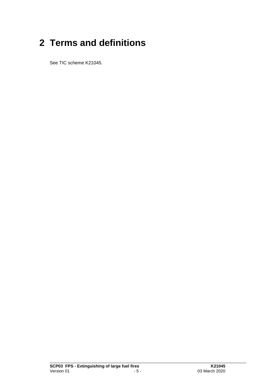### **2 Terms and definitions**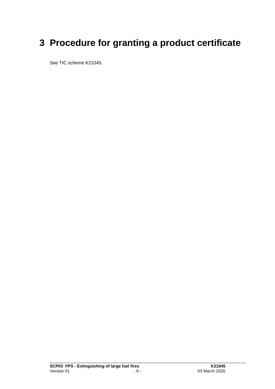### **3 Procedure for granting a product certificate**

See TIC scheme K21045.

.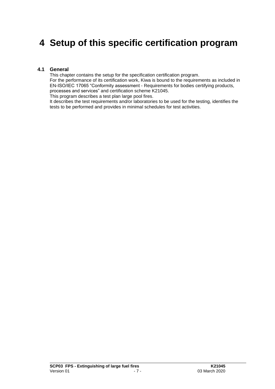### **4 Setup of this specific certification program**

#### **4.1 General**

This chapter contains the setup for the specification certification program. For the performance of its certification work, Kiwa is bound to the requirements as included in EN-ISO/IEC 17065 "Conformity assessment - Requirements for bodies certifying products, processes and services" and certification scheme K21045. This program describes a test plan large pool fires.

It describes the test requirements and/or laboratories to be used for the testing, identifies the tests to be performed and provides in minimal schedules for test activities.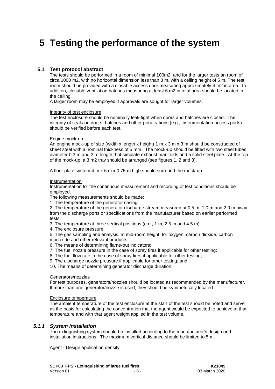### **5 Testing the performance of the system**

#### **5.1 Test protocol abstract**

The tests should be performed in a room of minimal 100m2 and for the larger tests an room of circa 1000 m2, with no horizontal dimension less than 8 m, with a ceiling height of 5 m. The test room should be provided with a closable access door measuring approximately 4 m2 in area. In addition, closable ventilation hatches measuring at least 6 m2 in total area should be located in the ceiling.

A larger room may be employed if approvals are sought for larger volumes.

#### Integrity of test enclosure

The test enclosure should be nominally leak tight when doors and hatches are closed. The integrity of seals on doors, hatches and other penetrations (e.g., instrumentation access ports) should be verified before each test.

#### Engine mock-up

An engine mock-up of size (width x length x height) 1 m x 3 m x 3 m should be constructed of sheet steel with a nominal thickness of 5 mm. The mock-up should be fitted with two steel tubes diameter 0.3 m and 3 m length that simulate exhaust manifolds and a solid steel plate. At the top of the mock-up, a 3 m2 tray should be arranged (see figures 1, 2 and 3).

A floor plate system 4 m x 6 m x 0.75 m high should surround the mock-up.

#### Instrumentation

Instrumentation for the continuous measurement and recording of test conditions should be employed.

The following measurements should be made:

1. The temperature of the generator casing;

2. The temperature of the generator discharge stream measured at 0.5 m, 1.0 m and 2.0 m away from the discharge ports or specifications from the manufacturer based on earlier performed tests;

- 3. The temperature at three vertical positions (e.g., 1 m, 2.5 m and 4.5 m);
- 4. The enclosure pressure;

5. The gas sampling and analysis, at mid-room height, for oxygen, carbon dioxide, carbon monoxide and other relevant products;

- 6. The means of determining flame-out indicators;
- 7. The fuel nozzle pressure in the case of spray fires if applicable for other testing;
- 8. The fuel flow rate in the case of spray fires if applicable for other testing;
- 9. The discharge nozzle pressure if applicable for other testing; and
- 10. The means of determining generator discharge duration.

#### Generators/nozzles

For test purposes, generators/nozzles should be located as recommended by the manufacturer. If more than one generator/nozzle is used, they should be symmetrically located.

#### Enclosure temperature

The ambient temperature of the test enclosure at the start of the test should be noted and serve as the basis for calculating the concentration that the agent would be expected to achieve at that temperature and with that agent weight applied in the test volume.

#### *5.1.1 System installation*

The extinguishing system should be installed according to the manufacturer's design and installation instructions. The maximum vertical distance should be limited to 5 m.

Agent - Design application density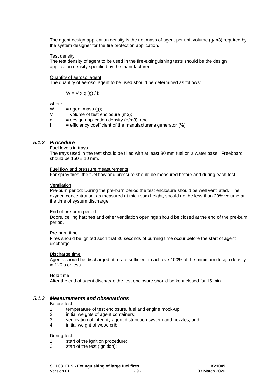The agent design application density is the net mass of agent per unit volume  $(q/m3)$  required by the system designer for the fire protection application.

#### Test density

The test density of agent to be used in the fire-extinguishing tests should be the design application density specified by the manufacturer.

#### Quantity of aerosol agent

The quantity of aerosol agent to be used should be determined as follows:

$$
W = V \times q (g) / f;
$$

where:

W =  $agent$  mass  $(q)$ ;

 $V =$  volume of test enclosure (m3):

- q  $=$  design application density  $(g/m3)$ ; and
- $f =$  efficiency coefficient of the manufacturer's generator  $(\%)$

#### *5.1.2 Procedure*

Fuel levels in trays

The trays used in the test should be filled with at least 30 mm fuel on a water base. Freeboard should be  $150 \pm 10$  mm.

Fuel flow and pressure measurements

For spray fires, the fuel flow and pressure should be measured before and during each test.

#### Ventilation

Pre-burn period; During the pre-burn period the test enclosure should be well ventilated. The oxygen concentration, as measured at mid-room height, should not be less than 20% volume at the time of system discharge.

#### End of pre-burn period

Doors, ceiling hatches and other ventilation openings should be closed at the end of the pre-burn period.

#### Pre-burn time

Fires should be ignited such that 30 seconds of burning time occur before the start of agent discharge.

#### Discharge time

Agents should be discharged at a rate sufficient to achieve 100% of the minimum design density in 120 s or less.

Hold time

After the end of agent discharge the test enclosure should be kept closed for 15 min.

#### *5.1.3 Measurements and observations*

Before test:

- 1 temperature of test enclosure, fuel and engine mock-up;
- 2 initial weights of agent containers;
- 3 verification of integrity agent distribution system and nozzles; and
- 4 initial weight of wood crib.

During test:

- 1 start of the ignition procedure;
- 2 start of the test (ignition);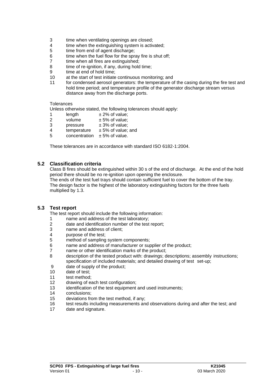- 3 time when ventilating openings are closed;
- 4 time when the extinguishing system is activated;
- 5 time from end of agent discharge;
- 6 time when the fuel flow for the spray fire is shut off;
- 7 time when all fires are extinguished;
- 8 time of re-ignition, if any, during hold time;
- 9 time at end of hold time;
- 10 at the start of test initiate continuous monitoring; and
- 11 for condensed aerosol generators: the temperature of the casing during the fire test and hold time period; and temperature profile of the generator discharge stream versus distance away from the discharge ports.

#### Tolerances

Unless otherwise stated, the following tolerances should apply:

- 1 length  $\pm 2\%$  of value;<br>2 volume  $+5\%$  of value:
- 2 volume  $\pm 5\%$  of value;<br>3 pressure  $\pm 3\%$  of value:
- 3 pressure  $\pm 3\%$  of value;
- 4 temperature  $\pm$  5% of value; and
- $5$  concentration  $\pm 5\%$  of value.

These tolerances are in accordance with standard ISO 6182-1:2004.

#### **5.2 Classification criteria**

Class B fires should be extinguished within 30 s of the end of discharge. At the end of the hold period there should be no re-ignition upon opening the enclosure.

The ends of the test fuel trays should contain sufficient fuel to cover the bottom of the tray. The design factor is the highest of the laboratory extinguishing factors for the three fuels multiplied by 1.3.

#### **5.3 Test report**

The test report should include the following information:

- 1 name and address of the test laboratory;
- 2 date and identification number of the test report;
- 3 name and address of client;
- 4 purpose of the test;
- 5 method of sampling system components;
- 6 name and address of manufacturer or supplier of the product;
- 7 name or other identification marks of the product;
- 8 description of the tested product with: drawings; descriptions; assembly instructions; specification of included materials; and detailed drawing of test set-up;
- 9 date of supply of the product;
- 10 date of test;
- 11 test method;
- 12 drawing of each test configuration;
- 13 identification of the test equipment and used instruments;
- 14 conclusions;
- 15 deviations from the test method, if any;
- 16 test results including measurements and observations during and after the test; and
- 17 date and signature.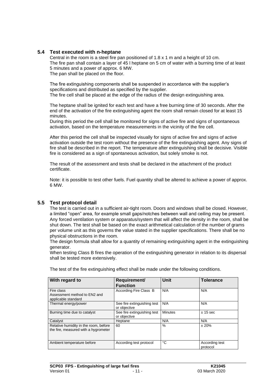### **5.4 Test executed with n-heptane**

Central in the room is a steel fire pan positioned of 1.8 x 1 m and a height of 10 cm. The fire pan shall contain a layer of 45 l heptane on 5 cm of water with a burning time of at least 5 minutes and a power of approx. 6 MW. The pan shall be placed on the floor.

The fire extinguishing components shall be suspended in accordance with the supplier's specifications and distributed as specified by the supplier.

The fire cell shall be placed at the edge of the radius of the design extinguishing area.

The heptane shall be ignited for each test and have a free burning time of 30 seconds. After the end of the activation of the fire extinguishing agent the room shall remain closed for at least 15 minutes.

During this period the cell shall be monitored for signs of active fire and signs of spontaneous activation, based on the temperature measurements in the vicinity of the fire cell.

After this period the cell shall be inspected visually for signs of active fire and signs of active activation outside the test room without the presence of the fire extinguishing agent. Any signs of fire shall be described in the report. The temperature after extinguishing shall be decisive. Visible fire is considered as a sign of spontaneous activation, but solely smoke is not.

The result of the assessment and tests shall be declared in the attachment of the product certificate.

Note: it is possible to test other fuels. Fuel quantity shall be altered to achieve a power of approx. 6 MW.

#### **5.5 Test protocol detail**

The test is carried out in a sufficient air-tight room. Doors and windows shall be closed. However, a limited "open" area, for example small gaps/notches between wall and ceiling may be present. Any forced ventilation system or apparatus/system that will affect the density in the room, shall be shut down. The test shall be based on the exact arithmetical calculation of the number of grams per volume unit as this governs the value stated in the supplier specifications. There shall be no physical obstructions in the room.

The design formula shall allow for a quantity of remaining extinguishing agent in the extinguishing generator.

When testing Class B fires the operation of the extinguishing generator in relation to its dispersal shall be tested more extensively.

| With regard to                                                                | Requirement/<br><b>Function</b>             | Unit           | <b>Tolerance</b>           |
|-------------------------------------------------------------------------------|---------------------------------------------|----------------|----------------------------|
| Fire class<br>Assessment method to EN2 and<br>applicable standard             | According Fire Class B                      | N/A            | N/A                        |
| Thermal energy/power                                                          | See fire extinguishing test<br>or objective | N/A            | N/A                        |
| Burning time due to catalyst                                                  | See fire extinguishing test<br>or objective | <b>Minutes</b> | ± 15 sec                   |
| Catalyst                                                                      | Heptane                                     | N/A            | N/A                        |
| Relative humidity in the room, before<br>the fire, measured with a hygrometer | 60                                          | $\%$           | ± 20%                      |
| Ambient temperature before                                                    | According test protocol                     | °C             | According test<br>protocol |

The test of the fire extinguishing effect shall be made under the following conditions.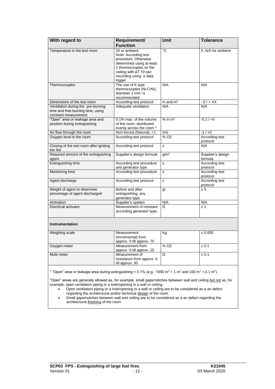| With regard to                                                                                                                                            | Requirement/<br><b>Function</b>                                                                                                                                                            | <b>Unit</b>      | <b>Tolerance</b>             |  |
|-----------------------------------------------------------------------------------------------------------------------------------------------------------|--------------------------------------------------------------------------------------------------------------------------------------------------------------------------------------------|------------------|------------------------------|--|
| Temperature in the test room                                                                                                                              | 20 or ambient<br>Note: According test<br>procedure. Otherwise<br>determined using at least<br>2 thermocouples on the<br>ceiling with $\Delta T$ 10 sec<br>recording using a data<br>logger | $\overline{c}$   | 5, N/A for ambient           |  |
| Thermocouples                                                                                                                                             | The use of K type<br>thermocouples (Ni-CrNi),<br>diameter 1 mm, is<br>recommended.                                                                                                         | N/A              | N/A                          |  |
| Dimensions of the test room                                                                                                                               | According test protocol                                                                                                                                                                    | m and $m3$       | $-0/+XX$                     |  |
| Ventilation during the pre-burning<br>time and free burning time, using<br>constant measurement                                                           | Adequate ventilation                                                                                                                                                                       | N/A              | N/A                          |  |
| "Open" area or leakage area and<br>position during extinguishing                                                                                          | 0.1% max. of the volume<br>of the room, distributed<br>evenly across the room *                                                                                                            | $%$ in $m2$      | $-0.1 / +0$                  |  |
| Air flow through the room                                                                                                                                 | Non-forced (Natural), <1                                                                                                                                                                   | m/s              | $-1/10$                      |  |
| Oxygen level in the room                                                                                                                                  | According test protocol                                                                                                                                                                    | % O <sub>2</sub> | According test<br>protocol   |  |
| Closing of the test room after igniting<br>the fire                                                                                                       | According test protocol                                                                                                                                                                    | s                | N/A                          |  |
| Required amount of fire extinguishing<br>agent                                                                                                            | Supplier's design formula                                                                                                                                                                  | g/m <sup>3</sup> | Supplier's design<br>formula |  |
| <b>Extinguishing time</b>                                                                                                                                 | According test procedure<br>and generator type                                                                                                                                             | s                | According test<br>protocol   |  |
| Monitoring time                                                                                                                                           | According test procedure                                                                                                                                                                   | s                | According test<br>protocol   |  |
| Agent discharge                                                                                                                                           | According test protocol                                                                                                                                                                    | s                | According test<br>protocol   |  |
| Weight of agent to determine<br>percentage of agent discharged                                                                                            | Before and after<br>extinguishing, any<br>generator type                                                                                                                                   | gr               | ± 5                          |  |
| Activation                                                                                                                                                | Supplier's system                                                                                                                                                                          | N/A              | N/A                          |  |
| <b>Electrical activator</b>                                                                                                                               | Measurement of resistant<br>according generator type.                                                                                                                                      | Ω                | ±1                           |  |
| <b>Instrumentation</b>                                                                                                                                    |                                                                                                                                                                                            |                  |                              |  |
| Weighing scale                                                                                                                                            | Measurement<br>(Incremental) from<br>approx. 0 till approx. 75                                                                                                                             | Kg               | ± 0.005                      |  |
| Oxygen meter                                                                                                                                              | Measurement from<br>approx. 0 till approx. 25                                                                                                                                              | % O <sub>2</sub> | ± 0.1                        |  |
| Multi meter                                                                                                                                               | Measurement of<br>resistance from approx. 0<br>till approx. 30                                                                                                                             | Ω                | ± 0.1                        |  |
| * "Open" area or leakage area during extinguishing = $0.1\%$ (e.g.: 1000 m <sup>3</sup> = 1 m <sup>2</sup> and 100 m <sup>3</sup> = 0.1 m <sup>2</sup> ). |                                                                                                                                                                                            |                  |                              |  |

"Open" areas are generally allowed as, for example, small gaps/notches between wall and ceiling but not as, for example, open ventilation piping or a hole/opening in a wall or ceiling.

- Open ventilation piping or a hole/opening in a wall or ceiling are to be considered as a an defect regarding the architectural and/or technical design of the room.
- Small gaps/notches between wall and ceiling are to be considered as a an defect regarding the architectural finishing of the room.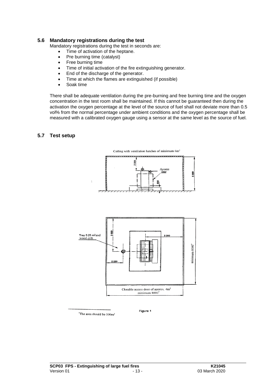#### **5.6 Mandatory registrations during the test**

Mandatory registrations during the test in seconds are:

- Time of activation of the heptane.
- Pre burning time (catalyst)
- Free burning time
- Time of initial activation of the fire extinguishing generator.
- End of the discharge of the generator.
- Time at which the flames are extinguished (if possible)
- Soak time

There shall be adequate ventilation during the pre-burning and free burning time and the oxygen concentration in the test room shall be maintained. If this cannot be guaranteed then during the activation the oxygen percentage at the level of the source of fuel shall not deviate more than 0.5 vol% from the normal percentage under ambient conditions and the oxygen percentage shall be measured with a calibrated oxygen gauge using a sensor at the same level as the source of fuel.

#### **5.7 Test setup**





"The area should be 100m<sup>2</sup>

Figure 1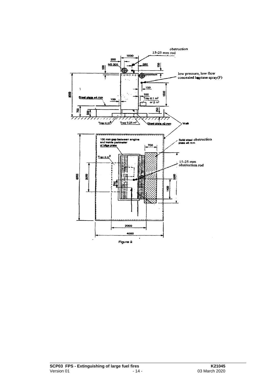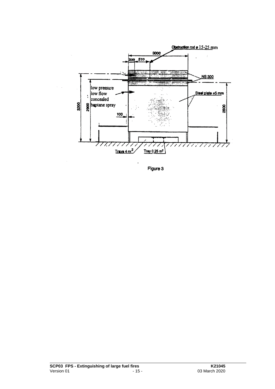

Figure 3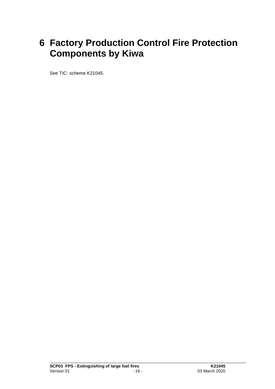### **6 Factory Production Control Fire Protection Components by Kiwa**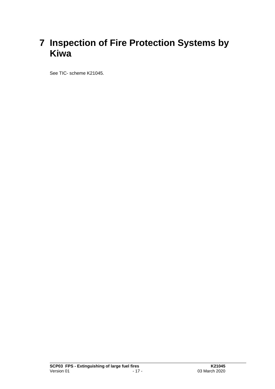### **7 Inspection of Fire Protection Systems by Kiwa**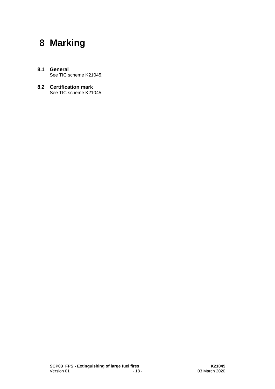### **8 Marking**

- **8.1 General** See TIC scheme K21045.
- **8.2 Certification mark** See TIC scheme K21045.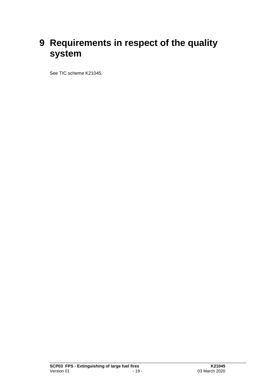### **9 Requirements in respect of the quality system**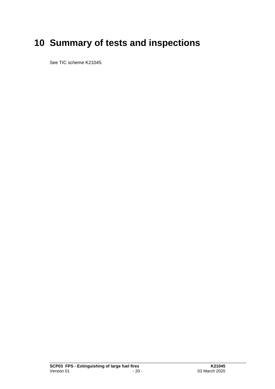## **10 Summary of tests and inspections**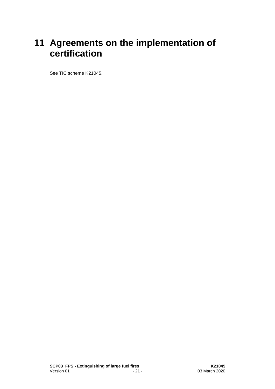### **11 Agreements on the implementation of certification**